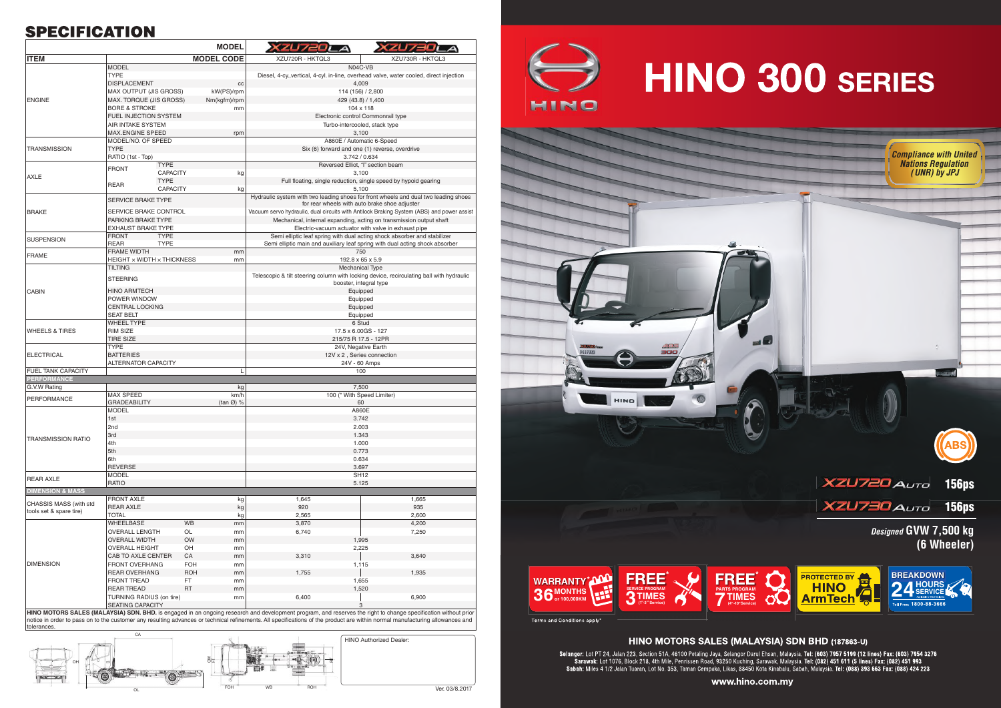## **SPECIFICATION**

|                                                                       |                                                   | <b>MODEL</b>                | XZU7201                                                                                                                    | ZUZSEI                                                                                                             |  |
|-----------------------------------------------------------------------|---------------------------------------------------|-----------------------------|----------------------------------------------------------------------------------------------------------------------------|--------------------------------------------------------------------------------------------------------------------|--|
| <b>ITEM</b>                                                           |                                                   | <b>MODEL CODE</b>           | XZU720R - HKTQL3                                                                                                           | XZU730R - HKTQL3                                                                                                   |  |
| <b>ENGINE</b>                                                         | <b>MODEL</b>                                      |                             |                                                                                                                            | N04C-VB                                                                                                            |  |
|                                                                       | <b>TYPE</b>                                       |                             |                                                                                                                            | Diesel, 4-cy., vertical, 4-cyl. in-line, overhead valve, water cooled, direct injection                            |  |
|                                                                       | <b>DISPLACEMENT</b>                               | cc                          |                                                                                                                            | 4,009                                                                                                              |  |
|                                                                       | MAX OUTPUT (JIS GROSS)                            | kW(PS)/rpm                  | 114 (156) / 2,800                                                                                                          |                                                                                                                    |  |
|                                                                       | MAX. TORQUE (JIS GROSS)                           | Nm(kgfm)/rpm                | 429 (43.8) / 1,400                                                                                                         |                                                                                                                    |  |
|                                                                       | <b>BORE &amp; STROKE</b><br>FUEL INJECTION SYSTEM | mm                          | 104 x 118<br>Electronic control Commonrail type                                                                            |                                                                                                                    |  |
|                                                                       | <b>AIR INTAKE SYSTEM</b>                          |                             | Turbo-intercooled, stack type                                                                                              |                                                                                                                    |  |
|                                                                       | <b>MAX.ENGINE SPEED</b>                           | rpm                         | 3,100                                                                                                                      |                                                                                                                    |  |
|                                                                       | MODEL/NO. OF SPEED                                |                             |                                                                                                                            | A860E / Automatic 6-Speed                                                                                          |  |
| <b>TRANSMISSION</b>                                                   | <b>TYPE</b>                                       |                             | Six (6) forward and one (1) reverse, overdrive                                                                             |                                                                                                                    |  |
| <b>AXLE</b>                                                           | RATIO (1st - Top)                                 |                             |                                                                                                                            | 3.742 / 0.634                                                                                                      |  |
|                                                                       | <b>TYPE</b><br><b>FRONT</b><br><b>CAPACITY</b>    | kg                          |                                                                                                                            | Reversed Elliot, "I" section beam<br>3,100                                                                         |  |
|                                                                       | <b>TYPE</b>                                       |                             |                                                                                                                            | Full floating, single reduction, single speed by hypoid gearing                                                    |  |
|                                                                       | <b>REAR</b><br><b>CAPACITY</b>                    | kg                          |                                                                                                                            | 5,100                                                                                                              |  |
|                                                                       | <b>SERVICE BRAKE TYPE</b>                         |                             |                                                                                                                            | Hydraulic system with two leading shoes for front wheels and dual two leading shoes                                |  |
|                                                                       |                                                   |                             |                                                                                                                            | for rear wheels with auto brake shoe adjuster                                                                      |  |
| <b>BRAKE</b>                                                          | SERVICE BRAKE CONTROL                             |                             |                                                                                                                            | Vacuum servo hydraulic, dual circuits with Antilock Braking System (ABS) and power assis                           |  |
|                                                                       | PARKING BRAKE TYPE<br>EXHAUST BRAKE TYPE          |                             | Mechanical, internal expanding, acting on transmission output shaft<br>Electric-vacuum actuator with valve in exhaust pipe |                                                                                                                    |  |
| <b>SUSPENSION</b>                                                     | <b>FRONT</b><br><b>TYPE</b>                       |                             |                                                                                                                            | Semi elliptic leaf spring with dual acting shock absorber and stabilizer                                           |  |
|                                                                       | <b>REAR</b><br><b>TYPE</b>                        |                             |                                                                                                                            | Semi elliptic main and auxiliary leaf spring with dual acting shock absorber                                       |  |
| <b>FRAME</b>                                                          | <b>FRAME WIDTH</b>                                | mm                          |                                                                                                                            | 750                                                                                                                |  |
|                                                                       | HEIGHT x WIDTH x THICKNESS                        | mm                          |                                                                                                                            | $192.8 \times 65 \times 5.9$                                                                                       |  |
| <b>CABIN</b>                                                          | <b>TILTING</b>                                    |                             |                                                                                                                            | <b>Mechanical Type</b>                                                                                             |  |
|                                                                       | <b>STEERING</b>                                   |                             |                                                                                                                            | Telescopic & tilt steering column with locking device, recirculating ball with hydraulic<br>booster, integral type |  |
|                                                                       | <b>HINO ARMTECH</b>                               |                             |                                                                                                                            | Equipped                                                                                                           |  |
|                                                                       | POWER WINDOW                                      |                             |                                                                                                                            | Equipped                                                                                                           |  |
|                                                                       | <b>CENTRAL LOCKING</b>                            |                             |                                                                                                                            | Equipped                                                                                                           |  |
|                                                                       | <b>SEAT BELT</b>                                  |                             | Equipped                                                                                                                   |                                                                                                                    |  |
| <b>WHEELS &amp; TIRES</b>                                             | <b>WHEEL TYPE</b><br>RIM SIZE                     |                             |                                                                                                                            | 6 Stud<br>17.5 x 6.00GS - 127                                                                                      |  |
|                                                                       | <b>TIRE SIZE</b>                                  |                             | 215/75 R 17.5 - 12PR                                                                                                       |                                                                                                                    |  |
| <b>ELECTRICAL</b>                                                     | <b>TYPE</b>                                       |                             |                                                                                                                            | 24V, Negative Earth                                                                                                |  |
|                                                                       | <b>BATTERIES</b>                                  |                             |                                                                                                                            | 12V x 2, Series connection                                                                                         |  |
|                                                                       | <b>ALTERNATOR CAPACITY</b>                        |                             |                                                                                                                            | 24V - 60 Amps                                                                                                      |  |
| <b>FUEL TANK CAPACITY</b><br><b>PERFORMANCE</b>                       |                                                   | $\mathbf{I}$                |                                                                                                                            | 100                                                                                                                |  |
| G.V.W Rating                                                          |                                                   | kg                          |                                                                                                                            | 7,500                                                                                                              |  |
|                                                                       | <b>MAX SPEED</b>                                  | km/h                        |                                                                                                                            | 100 (* With Speed Limiter)                                                                                         |  |
| <b>PERFORMANCE</b>                                                    | <b>GRADEABILITY</b>                               | $(tan \emptyset)$ %         | 60                                                                                                                         |                                                                                                                    |  |
|                                                                       | <b>MODEL</b>                                      |                             |                                                                                                                            | A860E                                                                                                              |  |
|                                                                       | 1st                                               |                             | 3.742                                                                                                                      |                                                                                                                    |  |
|                                                                       | 2nd<br>3rd                                        |                             | 2.003<br>1.343                                                                                                             |                                                                                                                    |  |
| <b>TRANSMISSION RATIO</b>                                             | 4th                                               |                             | 1.000                                                                                                                      |                                                                                                                    |  |
|                                                                       | 5th                                               |                             | 0.773                                                                                                                      |                                                                                                                    |  |
|                                                                       | 6th                                               |                             | 0.634                                                                                                                      |                                                                                                                    |  |
|                                                                       | <b>REVERSE</b>                                    |                             | 3.697                                                                                                                      |                                                                                                                    |  |
| <b>REAR AXLE</b>                                                      | <b>MODEL</b>                                      |                             |                                                                                                                            | <b>SH12</b>                                                                                                        |  |
| <b>DIMENSION &amp; MASS</b>                                           | <b>RATIO</b>                                      |                             |                                                                                                                            | 5.125                                                                                                              |  |
| CHASSIS MASS (with std<br>tools set & spare tire)<br><b>DIMENSION</b> | <b>FRONT AXLE</b>                                 | kg                          | 1,645                                                                                                                      | 1,665                                                                                                              |  |
|                                                                       | <b>REAR AXLE</b>                                  | kg                          | 920                                                                                                                        | 935                                                                                                                |  |
|                                                                       | <b>TOTAL</b>                                      | kg                          | 2,565                                                                                                                      | 2,600                                                                                                              |  |
|                                                                       | <b>WHEELBASE</b>                                  | <b>WB</b><br>mm             | 3,870                                                                                                                      | 4,200                                                                                                              |  |
|                                                                       | OVERALL LENGTH                                    | OL<br>mm                    | 6,740                                                                                                                      | 7,250                                                                                                              |  |
|                                                                       | <b>OVERALL WIDTH</b><br><b>OVERALL HEIGHT</b>     | <b>OW</b><br>mm<br>OH<br>mm |                                                                                                                            | 1,995<br>2,225                                                                                                     |  |
|                                                                       | CAB TO AXLE CENTER                                | CA<br>mm                    | 3,310                                                                                                                      | 3,640                                                                                                              |  |
|                                                                       | <b>FRONT OVERHANG</b>                             | <b>FOH</b><br>mm            |                                                                                                                            | 1,115                                                                                                              |  |
|                                                                       | <b>REAR OVERHANG</b>                              | <b>ROH</b><br>mm            | 1,755                                                                                                                      | 1,935                                                                                                              |  |
|                                                                       | <b>FRONT TREAD</b>                                | FT.<br>mm                   |                                                                                                                            | 1,655                                                                                                              |  |
|                                                                       | <b>REAR TREAD</b>                                 | <b>RT</b><br>mm             |                                                                                                                            | 1,520                                                                                                              |  |
|                                                                       | TURNING RADIUS (on tire)                          | mm                          | 6,400                                                                                                                      | 6,900                                                                                                              |  |
|                                                                       | SEATING CAPACITY                                  |                             |                                                                                                                            | 3                                                                                                                  |  |

HINO MOTORS SALES (MALAYSIA) SDN. BHD. is engaged in an ongoing research and development program, and reserves the right to change specification without prior notice in order to pass on to the customer any resulting advances or technical refinements. All specifications of the product are within normal manufacturing allowances and tolerances







Terms and Conditions apply\*

### HINO MOTORS SALES (MALAYSIA) SDN BHD (187863-U)

Selangor: Lot PT 24, Jalan 223, Section 51A, 46100 Petaling Jaya, Selangor Darul Ehsan, Malaysia. **Tel: (603) 7957 5199 (12 lines) Fax: (603) 7954 3276**<br>Sarawak: Lot 1076, Block 218, 4th Mile, Penrissen Road, 93250 Kuching

www.hino.com.my

# HINO 300 SERIES